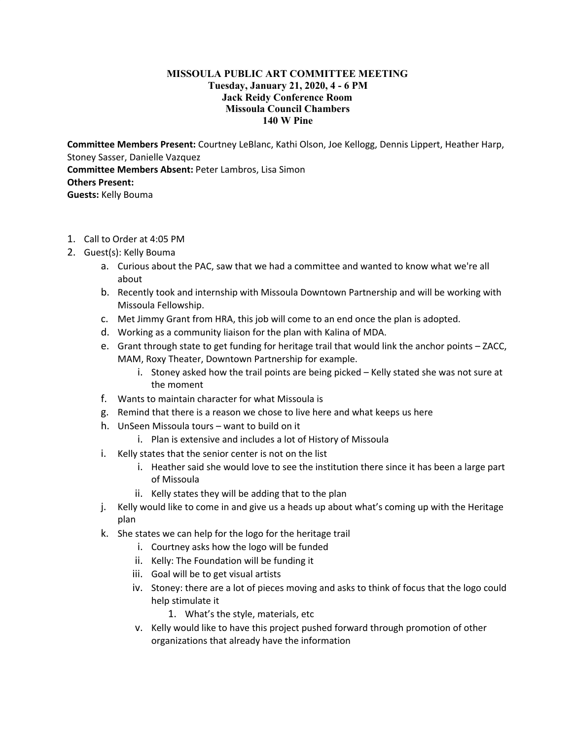## **MISSOULA PUBLIC ART COMMITTEE MEETING Tuesday, January 21, 2020, 4 - 6 PM Jack Reidy Conference Room Missoula Council Chambers 140 W Pine**

**Committee Members Present:** Courtney LeBlanc, Kathi Olson, Joe Kellogg, Dennis Lippert, Heather Harp, Stoney Sasser, Danielle Vazquez **Committee Members Absent:** Peter Lambros, Lisa Simon **Others Present: Guests:** Kelly Bouma

- 1. Call to Order at 4:05 PM
- 2. Guest(s): Kelly Bouma
	- a. Curious about the PAC, saw that we had a committee and wanted to know what we're all about
	- b. Recently took and internship with Missoula Downtown Partnership and will be working with Missoula Fellowship.
	- c. Met Jimmy Grant from HRA, this job will come to an end once the plan is adopted.
	- d. Working as a community liaison for the plan with Kalina of MDA.
	- e. Grant through state to get funding for heritage trail that would link the anchor points ZACC, MAM, Roxy Theater, Downtown Partnership for example.
		- i. Stoney asked how the trail points are being picked Kelly stated she was not sure at the moment
	- f. Wants to maintain character for what Missoula is
	- g. Remind that there is a reason we chose to live here and what keeps us here
	- h. UnSeen Missoula tours want to build on it
		- i. Plan is extensive and includes a lot of History of Missoula
	- i. Kelly states that the senior center is not on the list
		- i. Heather said she would love to see the institution there since it has been a large part of Missoula
		- ii. Kelly states they will be adding that to the plan
	- j. Kelly would like to come in and give us a heads up about what's coming up with the Heritage plan
	- k. She states we can help for the logo for the heritage trail
		- i. Courtney asks how the logo will be funded
		- ii. Kelly: The Foundation will be funding it
		- iii. Goal will be to get visual artists
		- iv. Stoney: there are a lot of pieces moving and asks to think of focus that the logo could help stimulate it
			- 1. What's the style, materials, etc
		- v. Kelly would like to have this project pushed forward through promotion of other organizations that already have the information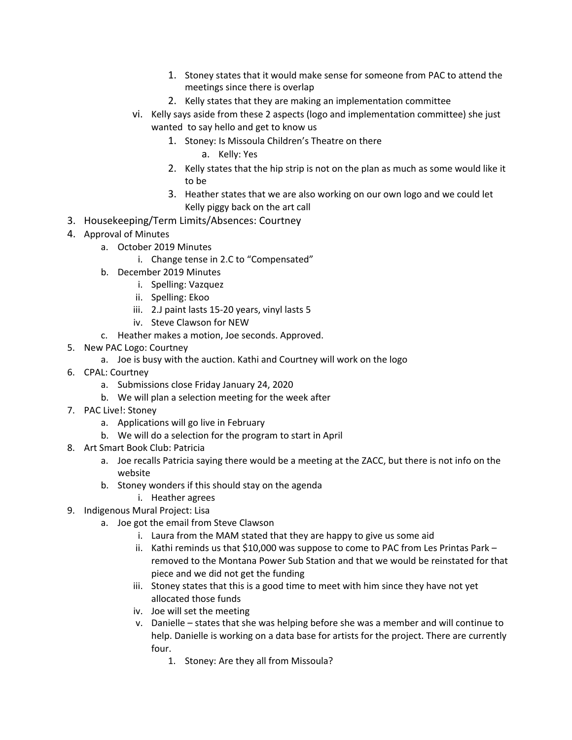- 1. Stoney states that it would make sense for someone from PAC to attend the meetings since there is overlap
- 2. Kelly states that they are making an implementation committee
- vi. Kelly says aside from these 2 aspects (logo and implementation committee) she just wanted to say hello and get to know us
	- 1. Stoney: Is Missoula Children's Theatre on there
		- a. Kelly: Yes
	- 2. Kelly states that the hip strip is not on the plan as much as some would like it to be
	- 3. Heather states that we are also working on our own logo and we could let Kelly piggy back on the art call
- 3. Housekeeping/Term Limits/Absences: Courtney
- 4. Approval of Minutes
	- a. October 2019 Minutes
		- i. Change tense in 2.C to "Compensated"
	- b. December 2019 Minutes
		- i. Spelling: Vazquez
		- ii. Spelling: Ekoo
		- iii. 2.J paint lasts 15-20 years, vinyl lasts 5
		- iv. Steve Clawson for NEW
	- c. Heather makes a motion, Joe seconds. Approved.
- 5. New PAC Logo: Courtney
	- a. Joe is busy with the auction. Kathi and Courtney will work on the logo
- 6. CPAL: Courtney
	- a. Submissions close Friday January 24, 2020
	- b. We will plan a selection meeting for the week after
- 7. PAC Live!: Stoney
	- a. Applications will go live in February
	- b. We will do a selection for the program to start in April
- 8. Art Smart Book Club: Patricia
	- a. Joe recalls Patricia saying there would be a meeting at the ZACC, but there is not info on the website
	- b. Stoney wonders if this should stay on the agenda
		- i. Heather agrees
- 9. Indigenous Mural Project: Lisa
	- a. Joe got the email from Steve Clawson
		- i. Laura from the MAM stated that they are happy to give us some aid
		- ii. Kathi reminds us that \$10,000 was suppose to come to PAC from Les Printas Park removed to the Montana Power Sub Station and that we would be reinstated for that piece and we did not get the funding
		- iii. Stoney states that this is a good time to meet with him since they have not yet allocated those funds
		- iv. Joe will set the meeting
		- v. Danielle states that she was helping before she was a member and will continue to help. Danielle is working on a data base for artists for the project. There are currently four.
			- 1. Stoney: Are they all from Missoula?